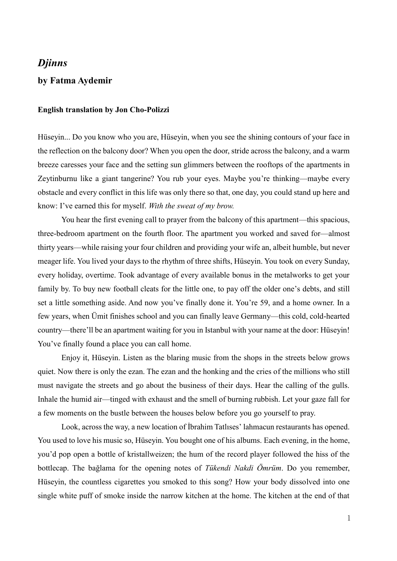## *Djinns*

## **by Fatma Aydemir**

## **English translation by Jon Cho-Polizzi**

Hüseyin... Do you know who you are, Hüseyin, when you see the shining contours of your face in the reflection on the balcony door? When you open the door, stride across the balcony, and a warm breeze caresses your face and the setting sun glimmers between the rooftops of the apartments in Zeytinburnu like a giant tangerine? You rub your eyes. Maybe you're thinking—maybe every obstacle and every conflict in this life was only there so that, one day, you could stand up here and know: I've earned this for myself. *With the sweat of my brow.*

You hear the first evening call to prayer from the balcony of this apartment—this spacious, three-bedroom apartment on the fourth floor. The apartment you worked and saved for—almost thirty years—while raising your four children and providing your wife an, albeit humble, but never meager life. You lived your days to the rhythm of three shifts, Hüseyin. You took on every Sunday, every holiday, overtime. Took advantage of every available bonus in the metalworks to get your family by. To buy new football cleats for the little one, to pay off the older one's debts, and still set a little something aside. And now you've finally done it. You're 59, and a home owner. In a few years, when Ümit finishes school and you can finally leave Germany—this cold, cold-hearted country—there'll be an apartment waiting for you in Istanbul with your name at the door: Hüseyin! You've finally found a place you can call home.

Enjoy it, Hüseyin. Listen as the blaring music from the shops in the streets below grows quiet. Now there is only the ezan. The ezan and the honking and the cries of the millions who still must navigate the streets and go about the business of their days. Hear the calling of the gulls. Inhale the humid air—tinged with exhaust and the smell of burning rubbish. Let your gaze fall for a few moments on the bustle between the houses below before you go yourself to pray.

Look, across the way, a new location of İbrahim Tatlıses' lahmacun restaurants has opened. You used to love his music so, Hüseyin. You bought one of his albums. Each evening, in the home, you'd pop open a bottle of kristallweizen; the hum of the record player followed the hiss of the bottlecap. The bağlama for the opening notes of *Tükendi Nakdi Ömrüm*. Do you remember, Hüseyin, the countless cigarettes you smoked to this song? How your body dissolved into one single white puff of smoke inside the narrow kitchen at the home. The kitchen at the end of that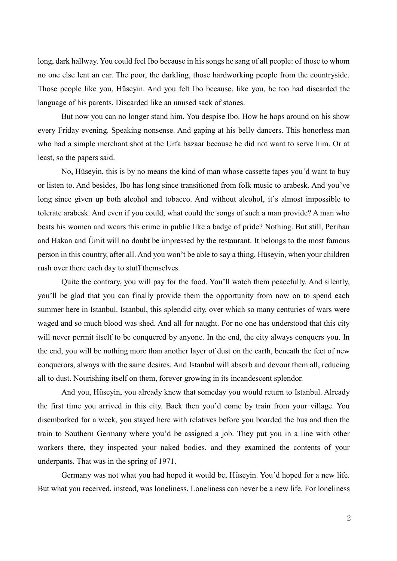long, dark hallway. You could feel Ibo because in his songs he sang of all people: of those to whom no one else lent an ear. The poor, the darkling, those hardworking people from the countryside. Those people like you, Hüseyin. And you felt Ibo because, like you, he too had discarded the language of his parents. Discarded like an unused sack of stones.

But now you can no longer stand him. You despise Ibo. How he hops around on his show every Friday evening. Speaking nonsense. And gaping at his belly dancers. This honorless man who had a simple merchant shot at the Urfa bazaar because he did not want to serve him. Or at least, so the papers said.

No, Hüseyin, this is by no means the kind of man whose cassette tapes you'd want to buy or listen to. And besides, Ibo has long since transitioned from folk music to arabesk. And you've long since given up both alcohol and tobacco. And without alcohol, it's almost impossible to tolerate arabesk. And even if you could, what could the songs of such a man provide? A man who beats his women and wears this crime in public like a badge of pride? Nothing. But still, Perihan and Hakan and Ümit will no doubt be impressed by the restaurant. It belongs to the most famous person in this country, after all. And you won't be able to say a thing, Hüseyin, when your children rush over there each day to stuff themselves.

Quite the contrary, you will pay for the food. You'll watch them peacefully. And silently, you'll be glad that you can finally provide them the opportunity from now on to spend each summer here in Istanbul. Istanbul, this splendid city, over which so many centuries of wars were waged and so much blood was shed. And all for naught. For no one has understood that this city will never permit itself to be conquered by anyone. In the end, the city always conquers you. In the end, you will be nothing more than another layer of dust on the earth, beneath the feet of new conquerors, always with the same desires. And Istanbul will absorb and devour them all, reducing all to dust. Nourishing itself on them, forever growing in its incandescent splendor.

And you, Hüseyin, you already knew that someday you would return to Istanbul. Already the first time you arrived in this city. Back then you'd come by train from your village. You disembarked for a week, you stayed here with relatives before you boarded the bus and then the train to Southern Germany where you'd be assigned a job. They put you in a line with other workers there, they inspected your naked bodies, and they examined the contents of your underpants. That was in the spring of 1971.

Germany was not what you had hoped it would be, Hüseyin. You'd hoped for a new life. But what you received, instead, was loneliness. Loneliness can never be a new life. For loneliness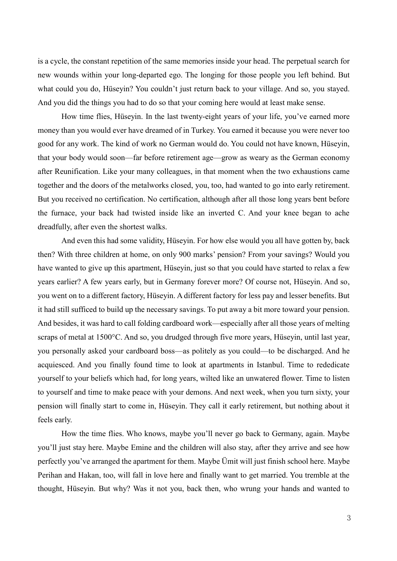is a cycle, the constant repetition of the same memories inside your head. The perpetual search for new wounds within your long-departed ego. The longing for those people you left behind. But what could you do, Hüseyin? You couldn't just return back to your village. And so, you stayed. And you did the things you had to do so that your coming here would at least make sense.

How time flies, Hüseyin. In the last twenty-eight years of your life, you've earned more money than you would ever have dreamed of in Turkey. You earned it because you were never too good for any work. The kind of work no German would do. You could not have known, Hüseyin, that your body would soon—far before retirement age—grow as weary as the German economy after Reunification. Like your many colleagues, in that moment when the two exhaustions came together and the doors of the metalworks closed, you, too, had wanted to go into early retirement. But you received no certification. No certification, although after all those long years bent before the furnace, your back had twisted inside like an inverted C. And your knee began to ache dreadfully, after even the shortest walks.

And even this had some validity, Hüseyin. For how else would you all have gotten by, back then? With three children at home, on only 900 marks' pension? From your savings? Would you have wanted to give up this apartment, Hüseyin, just so that you could have started to relax a few years earlier? A few years early, but in Germany forever more? Of course not, Hüseyin. And so, you went on to a different factory, Hüseyin. A different factory for less pay and lesser benefits. But it had still sufficed to build up the necessary savings. To put away a bit more toward your pension. And besides, it was hard to call folding cardboard work—especially after all those years of melting scraps of metal at 1500°C. And so, you drudged through five more years, Hüseyin, until last year, you personally asked your cardboard boss—as politely as you could—to be discharged. And he acquiesced. And you finally found time to look at apartments in Istanbul. Time to rededicate yourself to your beliefs which had, for long years, wilted like an unwatered flower. Time to listen to yourself and time to make peace with your demons. And next week, when you turn sixty, your pension will finally start to come in, Hüseyin. They call it early retirement, but nothing about it feels early.

How the time flies. Who knows, maybe you'll never go back to Germany, again. Maybe you'll just stay here. Maybe Emine and the children will also stay, after they arrive and see how perfectly you've arranged the apartment for them. Maybe Ümit will just finish school here. Maybe Perihan and Hakan, too, will fall in love here and finally want to get married. You tremble at the thought, Hüseyin. But why? Was it not you, back then, who wrung your hands and wanted to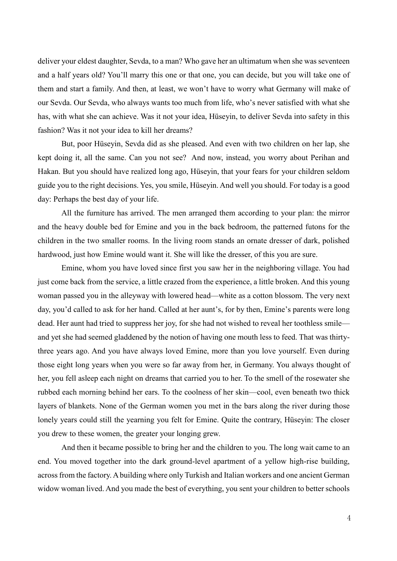deliver your eldest daughter, Sevda, to a man? Who gave her an ultimatum when she was seventeen and a half years old? You'll marry this one or that one, you can decide, but you will take one of them and start a family. And then, at least, we won't have to worry what Germany will make of our Sevda. Our Sevda, who always wants too much from life, who's never satisfied with what she has, with what she can achieve. Was it not your idea, Hüseyin, to deliver Sevda into safety in this fashion? Was it not your idea to kill her dreams?

But, poor Hüseyin, Sevda did as she pleased. And even with two children on her lap, she kept doing it, all the same. Can you not see? And now, instead, you worry about Perihan and Hakan. But you should have realized long ago, Hüseyin, that your fears for your children seldom guide you to the right decisions. Yes, you smile, Hüseyin. And well you should. For today is a good day: Perhaps the best day of your life.

All the furniture has arrived. The men arranged them according to your plan: the mirror and the heavy double bed for Emine and you in the back bedroom, the patterned futons for the children in the two smaller rooms. In the living room stands an ornate dresser of dark, polished hardwood, just how Emine would want it. She will like the dresser, of this you are sure.

Emine, whom you have loved since first you saw her in the neighboring village. You had just come back from the service, a little crazed from the experience, a little broken. And this young woman passed you in the alleyway with lowered head—white as a cotton blossom. The very next day, you'd called to ask for her hand. Called at her aunt's, for by then, Emine's parents were long dead. Her aunt had tried to suppress her joy, for she had not wished to reveal her toothless smile and yet she had seemed gladdened by the notion of having one mouth less to feed. That was thirtythree years ago. And you have always loved Emine, more than you love yourself. Even during those eight long years when you were so far away from her, in Germany. You always thought of her, you fell asleep each night on dreams that carried you to her. To the smell of the rosewater she rubbed each morning behind her ears. To the coolness of her skin—cool, even beneath two thick layers of blankets. None of the German women you met in the bars along the river during those lonely years could still the yearning you felt for Emine. Quite the contrary, Hüseyin: The closer you drew to these women, the greater your longing grew.

And then it became possible to bring her and the children to you. The long wait came to an end. You moved together into the dark ground-level apartment of a yellow high-rise building, across from the factory. A building where only Turkish and Italian workers and one ancient German widow woman lived. And you made the best of everything, you sent your children to better schools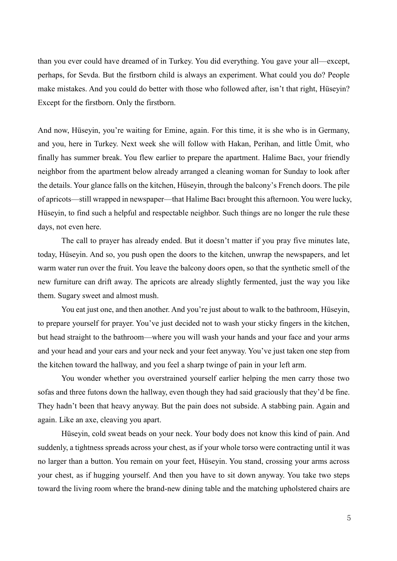than you ever could have dreamed of in Turkey. You did everything. You gave your all—except, perhaps, for Sevda. But the firstborn child is always an experiment. What could you do? People make mistakes. And you could do better with those who followed after, isn't that right, Hüseyin? Except for the firstborn. Only the firstborn.

And now, Hüseyin, you're waiting for Emine, again. For this time, it is she who is in Germany, and you, here in Turkey. Next week she will follow with Hakan, Perihan, and little Ümit, who finally has summer break. You flew earlier to prepare the apartment. Halime Bacı, your friendly neighbor from the apartment below already arranged a cleaning woman for Sunday to look after the details. Your glance falls on the kitchen, Hüseyin, through the balcony's French doors. The pile of apricots—still wrapped in newspaper—that Halime Bacı brought this afternoon. You were lucky, Hüseyin, to find such a helpful and respectable neighbor. Such things are no longer the rule these days, not even here.

The call to prayer has already ended. But it doesn't matter if you pray five minutes late, today, Hüseyin. And so, you push open the doors to the kitchen, unwrap the newspapers, and let warm water run over the fruit. You leave the balcony doors open, so that the synthetic smell of the new furniture can drift away. The apricots are already slightly fermented, just the way you like them. Sugary sweet and almost mush.

You eat just one, and then another. And you're just about to walk to the bathroom, Hüseyin, to prepare yourself for prayer. You've just decided not to wash your sticky fingers in the kitchen, but head straight to the bathroom—where you will wash your hands and your face and your arms and your head and your ears and your neck and your feet anyway. You've just taken one step from the kitchen toward the hallway, and you feel a sharp twinge of pain in your left arm.

You wonder whether you overstrained yourself earlier helping the men carry those two sofas and three futons down the hallway, even though they had said graciously that they'd be fine. They hadn't been that heavy anyway. But the pain does not subside. A stabbing pain. Again and again. Like an axe, cleaving you apart.

Hüseyin, cold sweat beads on your neck. Your body does not know this kind of pain. And suddenly, a tightness spreads across your chest, as if your whole torso were contracting until it was no larger than a button. You remain on your feet, Hüseyin. You stand, crossing your arms across your chest, as if hugging yourself. And then you have to sit down anyway. You take two steps toward the living room where the brand-new dining table and the matching upholstered chairs are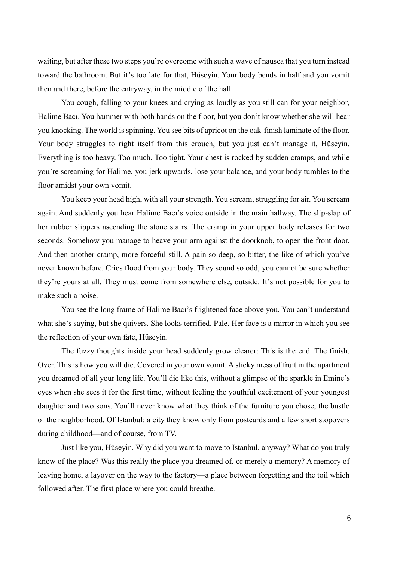waiting, but after these two steps you're overcome with such a wave of nausea that you turn instead toward the bathroom. But it's too late for that, Hüseyin. Your body bends in half and you vomit then and there, before the entryway, in the middle of the hall.

You cough, falling to your knees and crying as loudly as you still can for your neighbor, Halime Bacı. You hammer with both hands on the floor, but you don't know whether she will hear you knocking. The world is spinning. You see bits of apricot on the oak-finish laminate of the floor. Your body struggles to right itself from this crouch, but you just can't manage it, Hüseyin. Everything is too heavy. Too much. Too tight. Your chest is rocked by sudden cramps, and while you're screaming for Halime, you jerk upwards, lose your balance, and your body tumbles to the floor amidst your own vomit.

You keep your head high, with all your strength. You scream, struggling for air. You scream again. And suddenly you hear Halime Bacı's voice outside in the main hallway. The slip-slap of her rubber slippers ascending the stone stairs. The cramp in your upper body releases for two seconds. Somehow you manage to heave your arm against the doorknob, to open the front door. And then another cramp, more forceful still. A pain so deep, so bitter, the like of which you've never known before. Cries flood from your body. They sound so odd, you cannot be sure whether they're yours at all. They must come from somewhere else, outside. It's not possible for you to make such a noise.

You see the long frame of Halime Bacı's frightened face above you. You can't understand what she's saying, but she quivers. She looks terrified. Pale. Her face is a mirror in which you see the reflection of your own fate, Hüseyin.

The fuzzy thoughts inside your head suddenly grow clearer: This is the end. The finish. Over. This is how you will die. Covered in your own vomit. A sticky mess of fruit in the apartment you dreamed of all your long life. You'll die like this, without a glimpse of the sparkle in Emine's eyes when she sees it for the first time, without feeling the youthful excitement of your youngest daughter and two sons. You'll never know what they think of the furniture you chose, the bustle of the neighborhood. Of Istanbul: a city they know only from postcards and a few short stopovers during childhood—and of course, from TV.

Just like you, Hüseyin. Why did you want to move to Istanbul, anyway? What do you truly know of the place? Was this really the place you dreamed of, or merely a memory? A memory of leaving home, a layover on the way to the factory—a place between forgetting and the toil which followed after. The first place where you could breathe.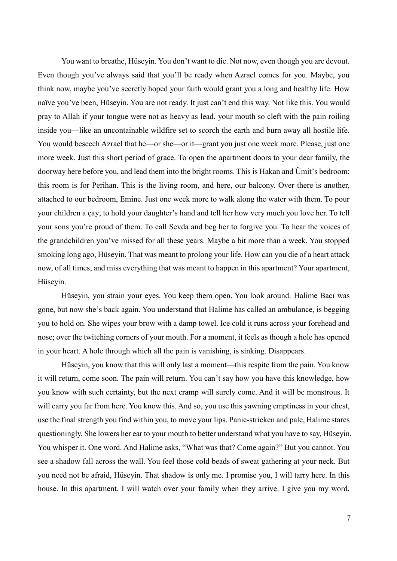You want to breathe, Hüseyin. You don't want to die. Not now, even though you are devout. Even though you've always said that you'll be ready when Azrael comes for you. Maybe, you think now, maybe you've secretly hoped your faith would grant you a long and healthy life. How naïve you've been, Hüseyin. You are not ready. It just can't end this way. Not like this. You would pray to Allah if your tongue were not as heavy as lead, your mouth so cleft with the pain roiling inside you—like an uncontainable wildfire set to scorch the earth and burn away all hostile life. You would beseech Azrael that he—or she—or it—grant you just one week more. Please, just one more week. Just this short period of grace. To open the apartment doors to your dear family, the doorway here before you, and lead them into the bright rooms. This is Hakan and Ümit's bedroom; this room is for Perihan. This is the living room, and here, our balcony. Over there is another, attached to our bedroom, Emine. Just one week more to walk along the water with them. To pour your children a ҁay; to hold your daughter's hand and tell her how very much you love her. To tell your sons you're proud of them. To call Sevda and beg her to forgive you. To hear the voices of the grandchildren you've missed for all these years. Maybe a bit more than a week. You stopped smoking long ago, Hüseyin. That was meant to prolong your life. How can you die of a heart attack now, of all times, and miss everything that was meant to happen in this apartment? Your apartment, Hüseyin.

Hüseyin, you strain your eyes. You keep them open. You look around. Halime Bacı was gone, but now she's back again. You understand that Halime has called an ambulance, is begging you to hold on. She wipes your brow with a damp towel. Ice cold it runs across your forehead and nose; over the twitching corners of your mouth. For a moment, it feels as though a hole has opened in your heart. A hole through which all the pain is vanishing, is sinking. Disappears.

Hüseyin, you know that this will only last a moment—this respite from the pain. You know it will return, come soon. The pain will return. You can't say how you have this knowledge, how you know with such certainty, but the next cramp will surely come. And it will be monstrous. It will carry you far from here. You know this. And so, you use this yawning emptiness in your chest, use the final strength you find within you, to move your lips. Panic-stricken and pale, Halime stares questioningly. She lowers her ear to your mouth to better understand what you have to say, Hüseyin. You whisper it. One word. And Halime asks, "What was that? Come again?" But you cannot. You see a shadow fall across the wall. You feel those cold beads of sweat gathering at your neck. But you need not be afraid, Hüseyin. That shadow is only me. I promise you, I will tarry here. In this house. In this apartment. I will watch over your family when they arrive. I give you my word,